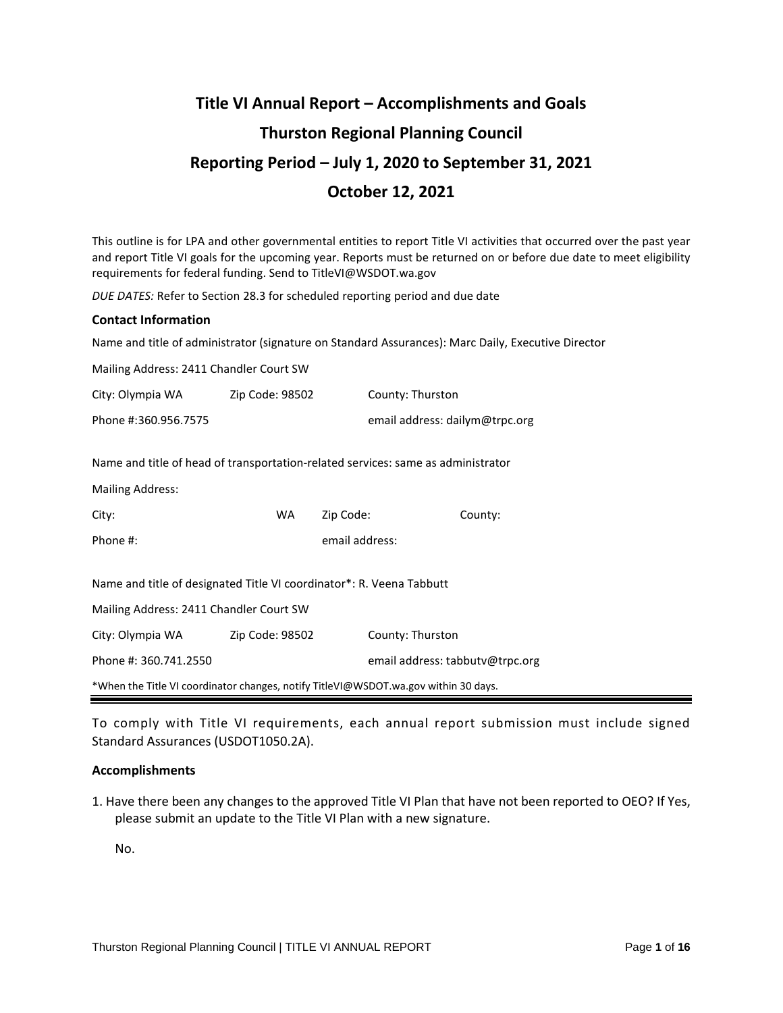# **Title VI Annual Report – Accomplishments and Goals Thurston Regional Planning Council Reporting Period – July 1, 2020 to September 31, 2021 October 12, 2021**

This outline is for LPA and other governmental entities to report Title VI activities that occurred over the past year and report Title VI goals for the upcoming year. Reports must be returned on or before due date to meet eligibility requirements for federal funding. Send to TitleVI@WSDOT.wa.gov

*DUE DATES:* Refer to Section 28.3 for scheduled reporting period and due date

#### **Contact Information**

Name and title of administrator (signature on Standard Assurances): Marc Daily, Executive Director

| Mailing Address: 2411 Chandler Court SW                                             |                 |                |                                 |         |  |  |  |  |  |
|-------------------------------------------------------------------------------------|-----------------|----------------|---------------------------------|---------|--|--|--|--|--|
| City: Olympia WA                                                                    | Zip Code: 98502 |                | County: Thurston                |         |  |  |  |  |  |
| Phone #:360.956.7575                                                                |                 |                | email address: dailym@trpc.org  |         |  |  |  |  |  |
| Name and title of head of transportation-related services: same as administrator    |                 |                |                                 |         |  |  |  |  |  |
| <b>Mailing Address:</b>                                                             |                 |                |                                 |         |  |  |  |  |  |
| City:                                                                               | WA.             | Zip Code:      |                                 | County: |  |  |  |  |  |
| Phone #:                                                                            |                 | email address: |                                 |         |  |  |  |  |  |
| Name and title of designated Title VI coordinator*: R. Veena Tabbutt                |                 |                |                                 |         |  |  |  |  |  |
| Mailing Address: 2411 Chandler Court SW                                             |                 |                |                                 |         |  |  |  |  |  |
| City: Olympia WA                                                                    | Zip Code: 98502 |                | County: Thurston                |         |  |  |  |  |  |
| Phone #: 360.741.2550                                                               |                 |                | email address: tabbutv@trpc.org |         |  |  |  |  |  |
| *When the Title VI coordinator changes, notify TitleVI@WSDOT.wa.gov within 30 days. |                 |                |                                 |         |  |  |  |  |  |

To comply with Title VI requirements, each annual report submission must include signed Standard Assurances (USDOT1050.2A).

## **Accomplishments**

1. Have there been any changes to the approved Title VI Plan that have not been reported to OEO? If Yes, please submit an update to the Title VI Plan with a new signature.

No.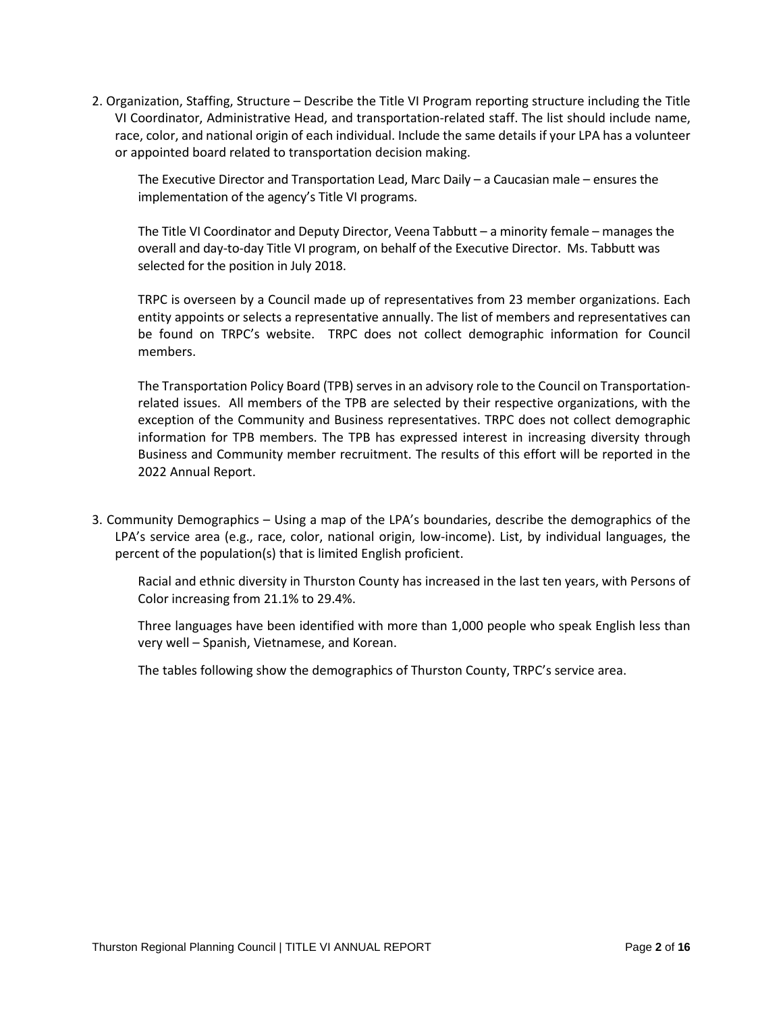2. Organization, Staffing, Structure – Describe the Title VI Program reporting structure including the Title VI Coordinator, Administrative Head, and transportation-related staff. The list should include name, race, color, and national origin of each individual. Include the same details if your LPA has a volunteer or appointed board related to transportation decision making.

The Executive Director and Transportation Lead, Marc Daily – a Caucasian male – ensures the implementation of the agency's Title VI programs.

The Title VI Coordinator and Deputy Director, Veena Tabbutt – a minority female – manages the overall and day-to-day Title VI program, on behalf of the Executive Director. Ms. Tabbutt was selected for the position in July 2018.

TRPC is overseen by a Council made up of representatives from 23 member organizations. Each entity appoints or selects a representative annually. The list of members and representatives can be found on TRPC's website. TRPC does not collect demographic information for Council members.

The Transportation Policy Board (TPB) serves in an advisory role to the Council on Transportationrelated issues. All members of the TPB are selected by their respective organizations, with the exception of the Community and Business representatives. TRPC does not collect demographic information for TPB members. The TPB has expressed interest in increasing diversity through Business and Community member recruitment. The results of this effort will be reported in the 2022 Annual Report.

3. Community Demographics – Using a map of the LPA's boundaries, describe the demographics of the LPA's service area (e.g., race, color, national origin, low-income). List, by individual languages, the percent of the population(s) that is limited English proficient.

Racial and ethnic diversity in Thurston County has increased in the last ten years, with Persons of Color increasing from 21.1% to 29.4%.

Three languages have been identified with more than 1,000 people who speak English less than very well – Spanish, Vietnamese, and Korean.

The tables following show the demographics of Thurston County, TRPC's service area.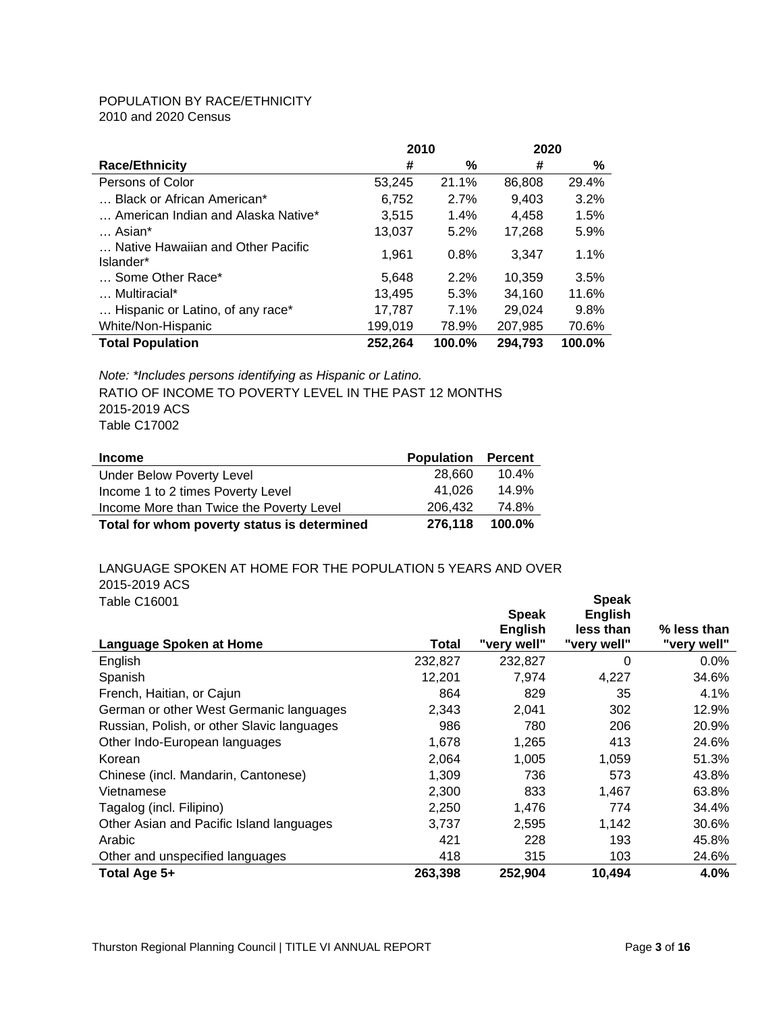## POPULATION BY RACE/ETHNICITY

2010 and 2020 Census

|                                                | 2010    |        | 2020    |        |
|------------------------------------------------|---------|--------|---------|--------|
| <b>Race/Ethnicity</b>                          | #       | %      | #       | %      |
| Persons of Color                               | 53.245  | 21.1%  | 86,808  | 29.4%  |
| Black or African American*                     | 6.752   | 2.7%   | 9,403   | 3.2%   |
| American Indian and Alaska Native*             | 3.515   | 1.4%   | 4,458   | 1.5%   |
| Asian*                                         | 13,037  | 5.2%   | 17,268  | 5.9%   |
| Native Hawaiian and Other Pacific<br>Islander* | 1.961   | 0.8%   | 3.347   | 1.1%   |
| Some Other Race*                               | 5.648   | 2.2%   | 10.359  | 3.5%   |
| Multiracial*                                   | 13.495  | 5.3%   | 34.160  | 11.6%  |
| Hispanic or Latino, of any race*               | 17.787  | 7.1%   | 29.024  | 9.8%   |
| White/Non-Hispanic                             | 199,019 | 78.9%  | 207,985 | 70.6%  |
| <b>Total Population</b>                        | 252,264 | 100.0% | 294,793 | 100.0% |

*Note: \*Includes persons identifying as Hispanic or Latino.* RATIO OF INCOME TO POVERTY LEVEL IN THE PAST 12 MONTHS 2015-2019 ACS Table C17002

| <b>Income</b>                               | <b>Population</b> | <b>Percent</b> |
|---------------------------------------------|-------------------|----------------|
| Under Below Poverty Level                   | 28.660            | 10.4%          |
| Income 1 to 2 times Poverty Level           | 41.026            | 14.9%          |
| Income More than Twice the Poverty Level    | 206.432           | 74.8%          |
| Total for whom poverty status is determined | 276.118           | 100.0%         |

#### LANGUAGE SPOKEN AT HOME FOR THE POPULATION 5 YEARS AND OVER 2015-2019 ACS Table C16001

| Lable C16001<br>Language Spoken at Home    | Total   | <b>Speak</b><br><b>English</b><br>"very well" | әреак<br><b>English</b><br>less than<br>"very well" | % less than<br>"very well" |
|--------------------------------------------|---------|-----------------------------------------------|-----------------------------------------------------|----------------------------|
| English                                    | 232,827 | 232,827                                       | $\Omega$                                            | 0.0%                       |
| Spanish                                    | 12,201  | 7,974                                         | 4,227                                               | 34.6%                      |
| French, Haitian, or Cajun                  | 864     | 829                                           | 35                                                  | 4.1%                       |
| German or other West Germanic languages    | 2,343   | 2,041                                         | 302                                                 | 12.9%                      |
| Russian, Polish, or other Slavic languages | 986     | 780                                           | 206                                                 | 20.9%                      |
| Other Indo-European languages              | 1,678   | 1,265                                         | 413                                                 | 24.6%                      |
| Korean                                     | 2,064   | 1,005                                         | 1,059                                               | 51.3%                      |
| Chinese (incl. Mandarin, Cantonese)        | 1,309   | 736                                           | 573                                                 | 43.8%                      |
| Vietnamese                                 | 2,300   | 833                                           | 1,467                                               | 63.8%                      |
| Tagalog (incl. Filipino)                   | 2,250   | 1,476                                         | 774                                                 | 34.4%                      |
| Other Asian and Pacific Island languages   | 3,737   | 2,595                                         | 1,142                                               | 30.6%                      |
| Arabic                                     | 421     | 228                                           | 193                                                 | 45.8%                      |
| Other and unspecified languages            | 418     | 315                                           | 103                                                 | 24.6%                      |
| Total Age 5+                               | 263,398 | 252,904                                       | 10,494                                              | 4.0%                       |

**Speak**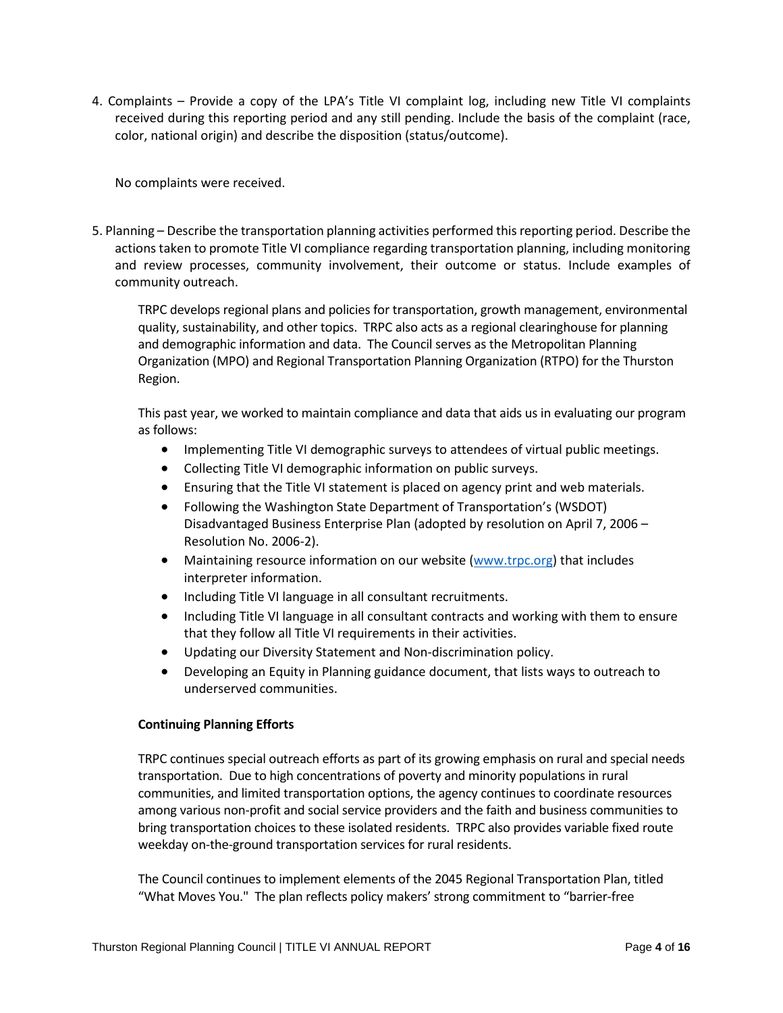4. Complaints – Provide a copy of the LPA's Title VI complaint log, including new Title VI complaints received during this reporting period and any still pending. Include the basis of the complaint (race, color, national origin) and describe the disposition (status/outcome).

No complaints were received.

5. Planning – Describe the transportation planning activities performed this reporting period. Describe the actions taken to promote Title VI compliance regarding transportation planning, including monitoring and review processes, community involvement, their outcome or status. Include examples of community outreach.

TRPC develops regional plans and policies for transportation, growth management, environmental quality, sustainability, and other topics. TRPC also acts as a regional clearinghouse for planning and demographic information and data. The Council serves as the Metropolitan Planning Organization (MPO) and Regional Transportation Planning Organization (RTPO) for the Thurston Region.

This past year, we worked to maintain compliance and data that aids us in evaluating our program as follows:

- Implementing Title VI demographic surveys to attendees of virtual public meetings.
- Collecting Title VI demographic information on public surveys.
- Ensuring that the Title VI statement is placed on agency print and web materials.
- Following the Washington State Department of Transportation's (WSDOT) Disadvantaged Business Enterprise Plan (adopted by resolution on April 7, 2006 – Resolution No. 2006-2).
- Maintaining resource information on our website [\(www.trpc.org\)](http://www.trpc.org/) that includes interpreter information.
- Including Title VI language in all consultant recruitments.
- Including Title VI language in all consultant contracts and working with them to ensure that they follow all Title VI requirements in their activities.
- Updating our Diversity Statement and Non-discrimination policy.
- Developing an Equity in Planning guidance document, that lists ways to outreach to underserved communities.

## **Continuing Planning Efforts**

TRPC continues special outreach efforts as part of its growing emphasis on rural and special needs transportation. Due to high concentrations of poverty and minority populations in rural communities, and limited transportation options, the agency continues to coordinate resources among various non-profit and social service providers and the faith and business communities to bring transportation choices to these isolated residents. TRPC also provides variable fixed route weekday on-the-ground transportation services for rural residents.

The Council continues to implement elements of the 2045 Regional Transportation Plan, titled "What Moves You." The plan reflects policy makers' strong commitment to "barrier-free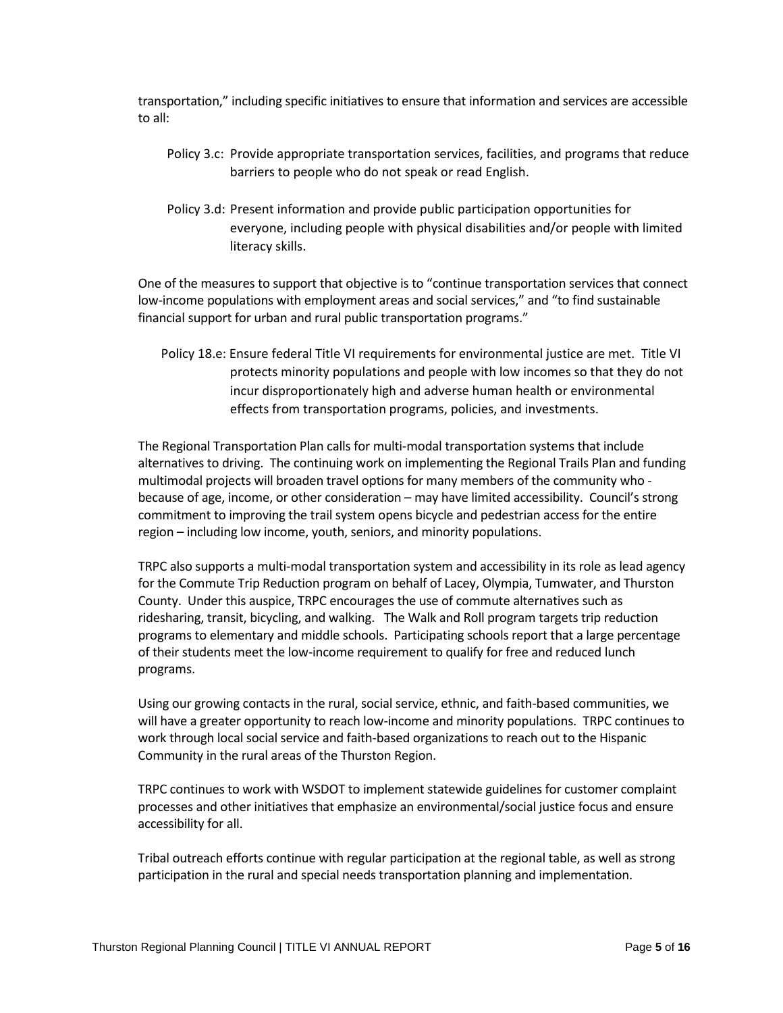transportation," including specific initiatives to ensure that information and services are accessible to all:

- Policy 3.c: Provide appropriate transportation services, facilities, and programs that reduce barriers to people who do not speak or read English.
- Policy 3.d: Present information and provide public participation opportunities for everyone, including people with physical disabilities and/or people with limited literacy skills.

One of the measures to support that objective is to "continue transportation services that connect low-income populations with employment areas and social services," and "to find sustainable financial support for urban and rural public transportation programs."

Policy 18.e: Ensure federal Title VI requirements for environmental justice are met. Title VI protects minority populations and people with low incomes so that they do not incur disproportionately high and adverse human health or environmental effects from transportation programs, policies, and investments.

The Regional Transportation Plan calls for multi-modal transportation systems that include alternatives to driving. The continuing work on implementing the Regional Trails Plan and funding multimodal projects will broaden travel options for many members of the community who because of age, income, or other consideration – may have limited accessibility. Council's strong commitment to improving the trail system opens bicycle and pedestrian access for the entire region – including low income, youth, seniors, and minority populations.

TRPC also supports a multi-modal transportation system and accessibility in its role as lead agency for the Commute Trip Reduction program on behalf of Lacey, Olympia, Tumwater, and Thurston County. Under this auspice, TRPC encourages the use of commute alternatives such as ridesharing, transit, bicycling, and walking. The Walk and Roll program targets trip reduction programs to elementary and middle schools. Participating schools report that a large percentage of their students meet the low-income requirement to qualify for free and reduced lunch programs.

Using our growing contacts in the rural, social service, ethnic, and faith-based communities, we will have a greater opportunity to reach low-income and minority populations. TRPC continues to work through local social service and faith-based organizations to reach out to the Hispanic Community in the rural areas of the Thurston Region.

TRPC continues to work with WSDOT to implement statewide guidelines for customer complaint processes and other initiatives that emphasize an environmental/social justice focus and ensure accessibility for all.

Tribal outreach efforts continue with regular participation at the regional table, as well as strong participation in the rural and special needs transportation planning and implementation.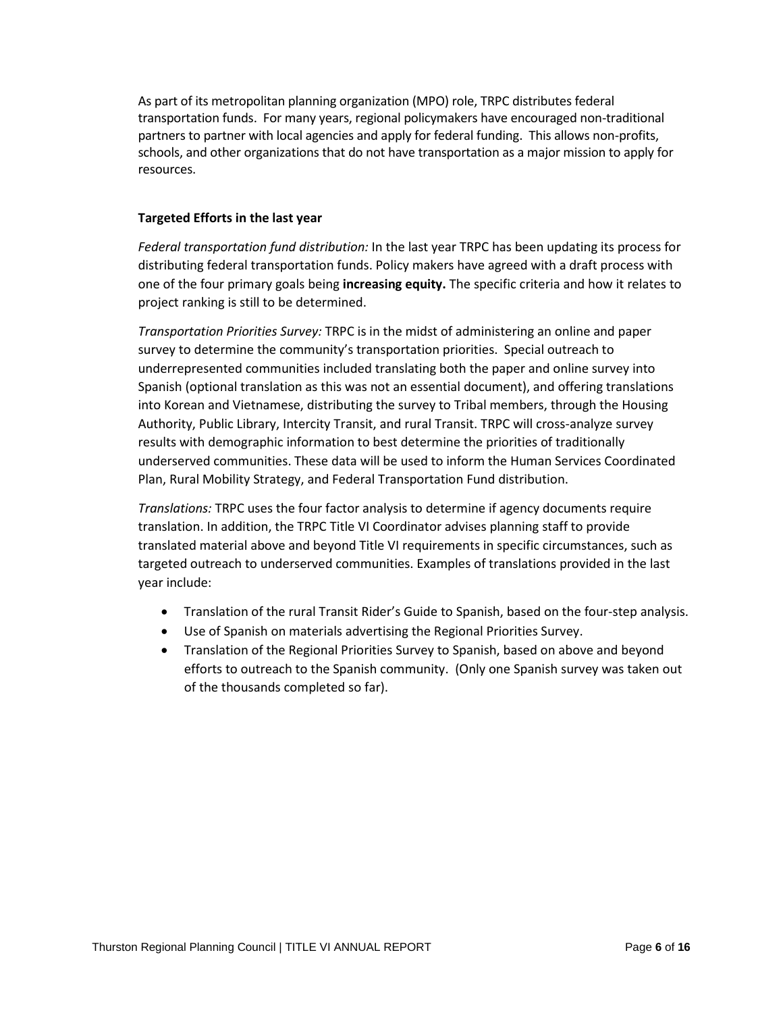As part of its metropolitan planning organization (MPO) role, TRPC distributes federal transportation funds. For many years, regional policymakers have encouraged non-traditional partners to partner with local agencies and apply for federal funding. This allows non-profits, schools, and other organizations that do not have transportation as a major mission to apply for resources.

## **Targeted Efforts in the last year**

*Federal transportation fund distribution:* In the last year TRPC has been updating its process for distributing federal transportation funds. Policy makers have agreed with a draft process with one of the four primary goals being **increasing equity.** The specific criteria and how it relates to project ranking is still to be determined.

*Transportation Priorities Survey:* TRPC is in the midst of administering an online and paper survey to determine the community's transportation priorities. Special outreach to underrepresented communities included translating both the paper and online survey into Spanish (optional translation as this was not an essential document), and offering translations into Korean and Vietnamese, distributing the survey to Tribal members, through the Housing Authority, Public Library, Intercity Transit, and rural Transit. TRPC will cross-analyze survey results with demographic information to best determine the priorities of traditionally underserved communities. These data will be used to inform the Human Services Coordinated Plan, Rural Mobility Strategy, and Federal Transportation Fund distribution.

*Translations:* TRPC uses the four factor analysis to determine if agency documents require translation. In addition, the TRPC Title VI Coordinator advises planning staff to provide translated material above and beyond Title VI requirements in specific circumstances, such as targeted outreach to underserved communities. Examples of translations provided in the last year include:

- Translation of the rural Transit Rider's Guide to Spanish, based on the four-step analysis.
- Use of Spanish on materials advertising the Regional Priorities Survey.
- Translation of the Regional Priorities Survey to Spanish, based on above and beyond efforts to outreach to the Spanish community. (Only one Spanish survey was taken out of the thousands completed so far).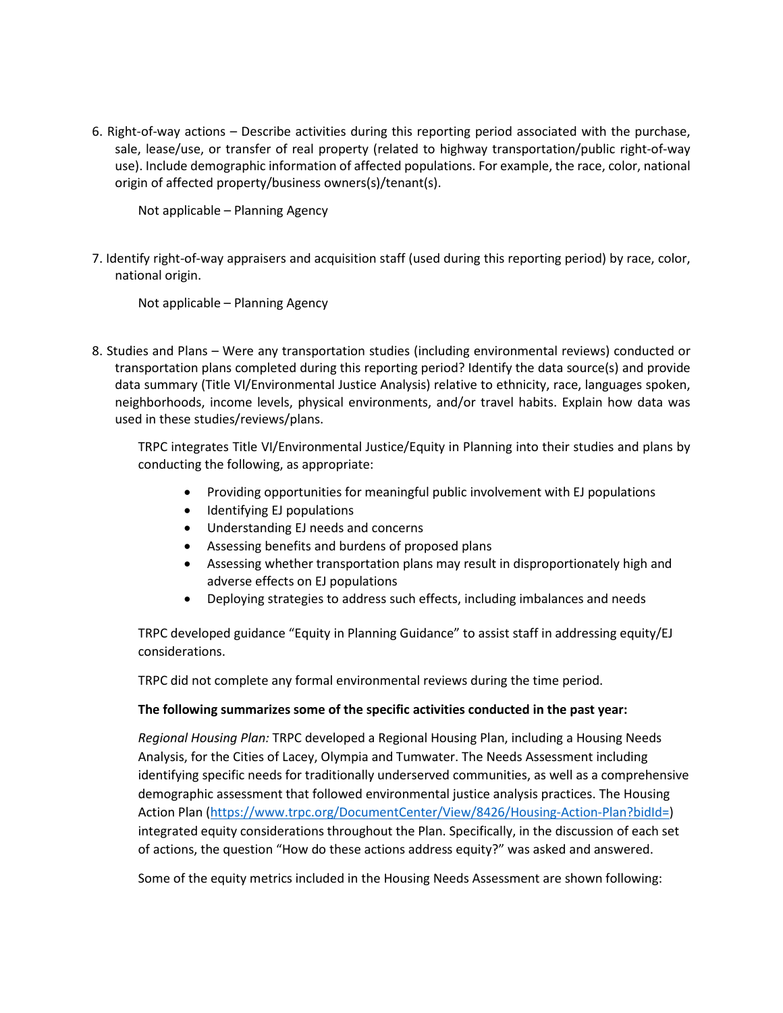6. Right-of-way actions – Describe activities during this reporting period associated with the purchase, sale, lease/use, or transfer of real property (related to highway transportation/public right-of-way use). Include demographic information of affected populations. For example, the race, color, national origin of affected property/business owners(s)/tenant(s).

Not applicable – Planning Agency

7. Identify right-of-way appraisers and acquisition staff (used during this reporting period) by race, color, national origin.

Not applicable – Planning Agency

8. Studies and Plans – Were any transportation studies (including environmental reviews) conducted or transportation plans completed during this reporting period? Identify the data source(s) and provide data summary (Title VI/Environmental Justice Analysis) relative to ethnicity, race, languages spoken, neighborhoods, income levels, physical environments, and/or travel habits. Explain how data was used in these studies/reviews/plans.

TRPC integrates Title VI/Environmental Justice/Equity in Planning into their studies and plans by conducting the following, as appropriate:

- Providing opportunities for meaningful public involvement with EJ populations
- Identifying EJ populations
- Understanding EJ needs and concerns
- Assessing benefits and burdens of proposed plans
- Assessing whether transportation plans may result in disproportionately high and adverse effects on EJ populations
- Deploying strategies to address such effects, including imbalances and needs

TRPC developed guidance "Equity in Planning Guidance" to assist staff in addressing equity/EJ considerations.

TRPC did not complete any formal environmental reviews during the time period.

## **The following summarizes some of the specific activities conducted in the past year:**

*Regional Housing Plan:* TRPC developed a Regional Housing Plan, including a Housing Needs Analysis, for the Cities of Lacey, Olympia and Tumwater. The Needs Assessment including identifying specific needs for traditionally underserved communities, as well as a comprehensive demographic assessment that followed environmental justice analysis practices. The Housing Action Plan [\(https://www.trpc.org/DocumentCenter/View/8426/Housing-Action-Plan?bidId=\)](https://www.trpc.org/DocumentCenter/View/8426/Housing-Action-Plan?bidId=) integrated equity considerations throughout the Plan. Specifically, in the discussion of each set of actions, the question "How do these actions address equity?" was asked and answered.

Some of the equity metrics included in the Housing Needs Assessment are shown following: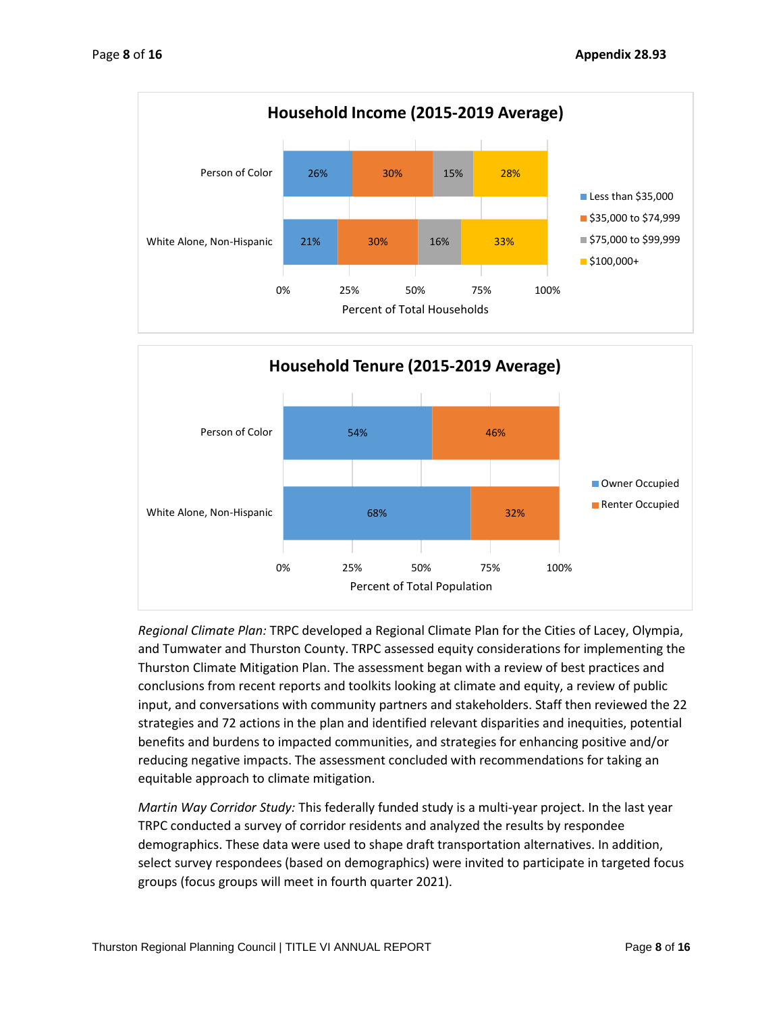



*Regional Climate Plan:* TRPC developed a Regional Climate Plan for the Cities of Lacey, Olympia, and Tumwater and Thurston County. TRPC assessed equity considerations for implementing the Thurston Climate Mitigation Plan. The assessment began with a review of best practices and conclusions from recent reports and toolkits looking at climate and equity, a review of public input, and conversations with community partners and stakeholders. Staff then reviewed the 22 strategies and 72 actions in the plan and identified relevant disparities and inequities, potential benefits and burdens to impacted communities, and strategies for enhancing positive and/or reducing negative impacts. The assessment concluded with recommendations for taking an equitable approach to climate mitigation.

*Martin Way Corridor Study:* This federally funded study is a multi-year project. In the last year TRPC conducted a survey of corridor residents and analyzed the results by respondee demographics. These data were used to shape draft transportation alternatives. In addition, select survey respondees (based on demographics) were invited to participate in targeted focus groups (focus groups will meet in fourth quarter 2021).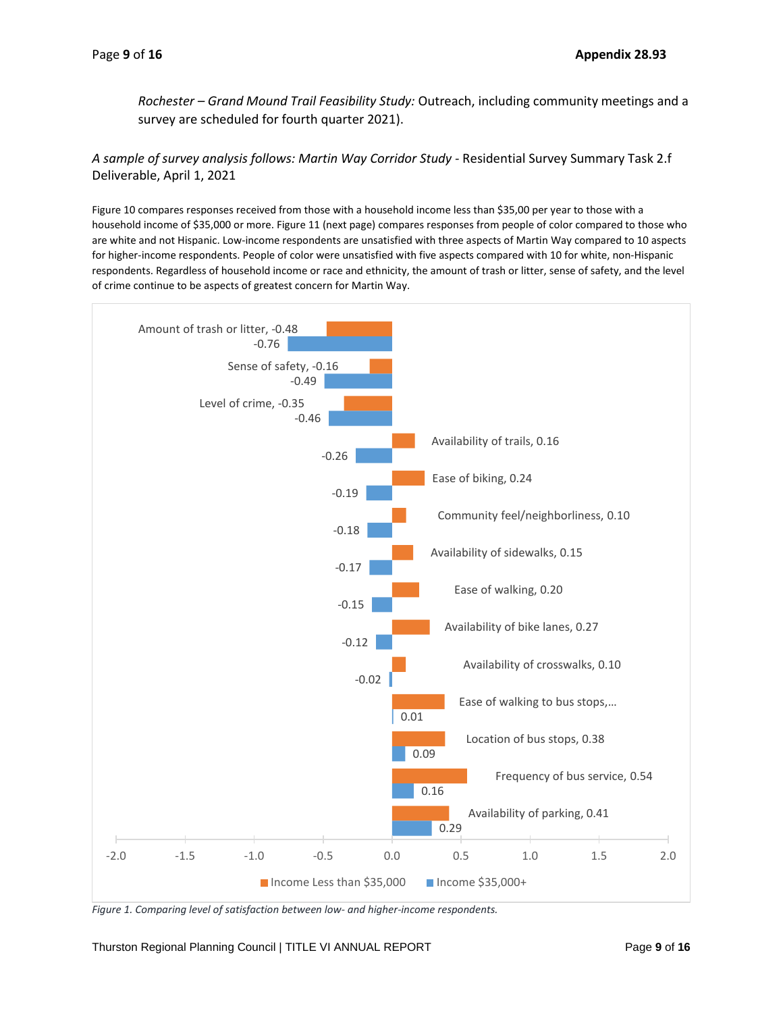*Rochester – Grand Mound Trail Feasibility Study:* Outreach, including community meetings and a survey are scheduled for fourth quarter 2021).

*A sample of survey analysis follows: Martin Way Corridor Study -* Residential Survey Summary Task 2.f Deliverable, April 1, 2021

Figure 10 compares responses received from those with a household income less than \$35,00 per year to those with a household income of \$35,000 or more. Figure 11 (next page) compares responses from people of color compared to those who are white and not Hispanic. Low-income respondents are unsatisfied with three aspects of Martin Way compared to 10 aspects for higher-income respondents. People of color were unsatisfied with five aspects compared with 10 for white, non-Hispanic respondents. Regardless of household income or race and ethnicity, the amount of trash or litter, sense of safety, and the level of crime continue to be aspects of greatest concern for Martin Way.



*Figure 1. Comparing level of satisfaction between low- and higher-income respondents.*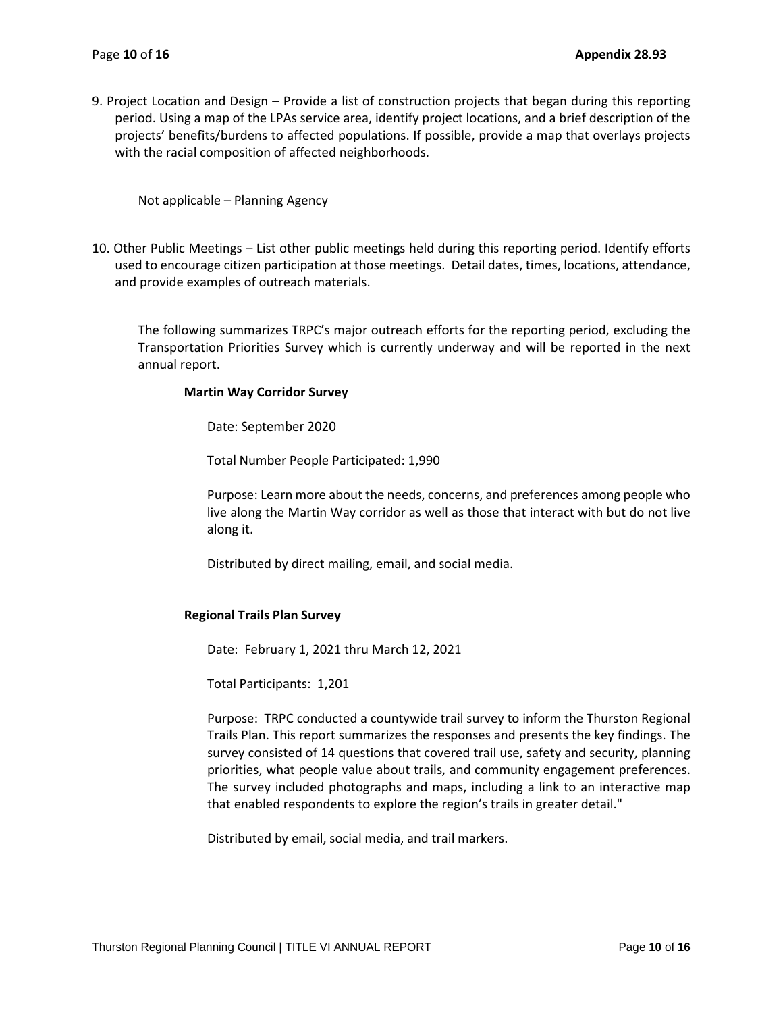9. Project Location and Design – Provide a list of construction projects that began during this reporting period. Using a map of the LPAs service area, identify project locations, and a brief description of the projects' benefits/burdens to affected populations. If possible, provide a map that overlays projects with the racial composition of affected neighborhoods.

Not applicable – Planning Agency

10. Other Public Meetings – List other public meetings held during this reporting period. Identify efforts used to encourage citizen participation at those meetings. Detail dates, times, locations, attendance, and provide examples of outreach materials.

The following summarizes TRPC's major outreach efforts for the reporting period, excluding the Transportation Priorities Survey which is currently underway and will be reported in the next annual report.

#### **Martin Way Corridor Survey**

Date: September 2020

Total Number People Participated: 1,990

Purpose: Learn more about the needs, concerns, and preferences among people who live along the Martin Way corridor as well as those that interact with but do not live along it.

Distributed by direct mailing, email, and social media.

### **Regional Trails Plan Survey**

Date: February 1, 2021 thru March 12, 2021

Total Participants: 1,201

Purpose: TRPC conducted a countywide trail survey to inform the Thurston Regional Trails Plan. This report summarizes the responses and presents the key findings. The survey consisted of 14 questions that covered trail use, safety and security, planning priorities, what people value about trails, and community engagement preferences. The survey included photographs and maps, including a link to an interactive map that enabled respondents to explore the region's trails in greater detail."

Distributed by email, social media, and trail markers.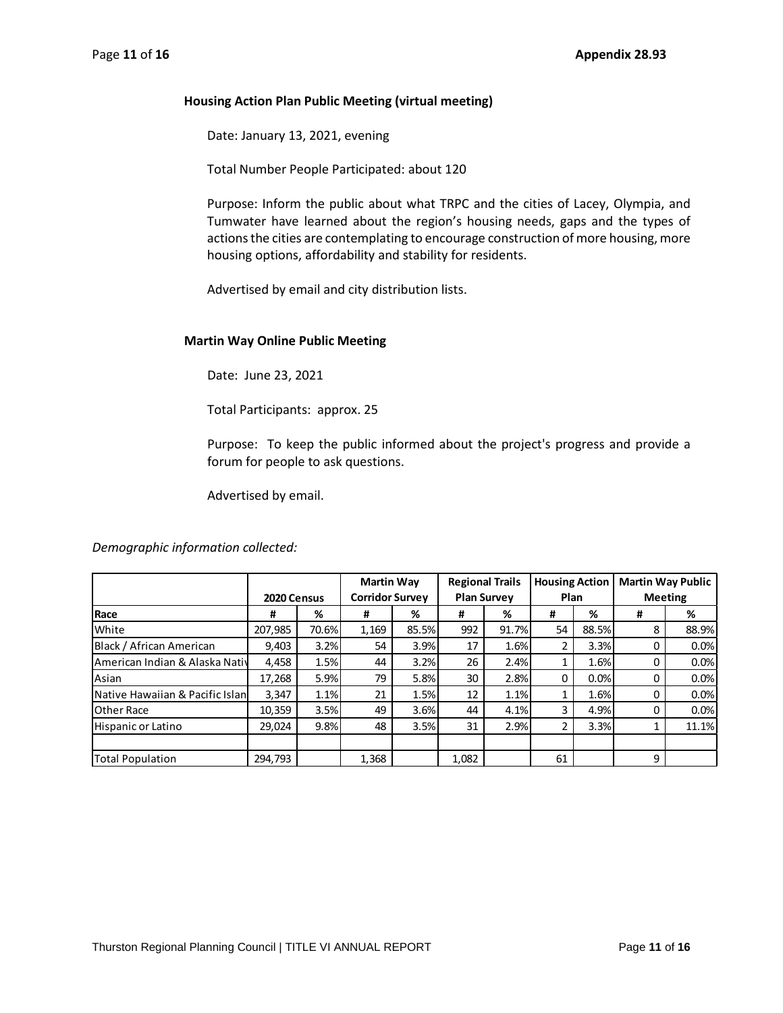## **Housing Action Plan Public Meeting (virtual meeting)**

Date: January 13, 2021, evening

Total Number People Participated: about 120

Purpose: Inform the public about what TRPC and the cities of Lacey, Olympia, and Tumwater have learned about the region's housing needs, gaps and the types of actions the cities are contemplating to encourage construction of more housing, more housing options, affordability and stability for residents.

Advertised by email and city distribution lists.

## **Martin Way Online Public Meeting**

Date: June 23, 2021

Total Participants: approx. 25

Purpose: To keep the public informed about the project's progress and provide a forum for people to ask questions.

Advertised by email.

*Demographic information collected:*

|                                  |             |       | <b>Martin Way</b>      |       | <b>Regional Trails</b> |       | <b>Housing Action</b> |       | <b>Martin Way Public</b> |       |
|----------------------------------|-------------|-------|------------------------|-------|------------------------|-------|-----------------------|-------|--------------------------|-------|
|                                  | 2020 Census |       | <b>Corridor Survey</b> |       | <b>Plan Survey</b>     |       | Plan                  |       | <b>Meeting</b>           |       |
| <b>Race</b>                      | #           | %     | #                      | %     | #                      | %     | #                     | %     | #                        | %     |
| White                            | 207,985     | 70.6% | 1,169                  | 85.5% | 992                    | 91.7% | 54                    | 88.5% | 8                        | 88.9% |
| Black / African American         | 9.403       | 3.2%  | 54                     | 3.9%  | 17                     | 1.6%  | 2                     | 3.3%  | $\Omega$                 | 0.0%  |
| American Indian & Alaska Nativ   | 4,458       | 1.5%  | 44                     | 3.2%  | 26                     | 2.4%  |                       | 1.6%  | 0                        | 0.0%  |
| Asian                            | 17,268      | 5.9%  | 79                     | 5.8%  | 30                     | 2.8%  | 0                     | 0.0%  |                          | 0.0%  |
| Native Hawaiian & Pacific Islanl | 3,347       | 1.1%  | 21                     | 1.5%  | 12                     | 1.1%  |                       | 1.6%  |                          | 0.0%  |
| <b>Other Race</b>                | 10,359      | 3.5%  | 49                     | 3.6%  | 44                     | 4.1%  | 3                     | 4.9%  | 0                        | 0.0%  |
| Hispanic or Latino               | 29.024      | 9.8%  | 48                     | 3.5%  | 31                     | 2.9%  | 2                     | 3.3%  |                          | 11.1% |
|                                  |             |       |                        |       |                        |       |                       |       |                          |       |
| Total Population                 | 294.793     |       | 1.368                  |       | 1,082                  |       | 61                    |       | 9                        |       |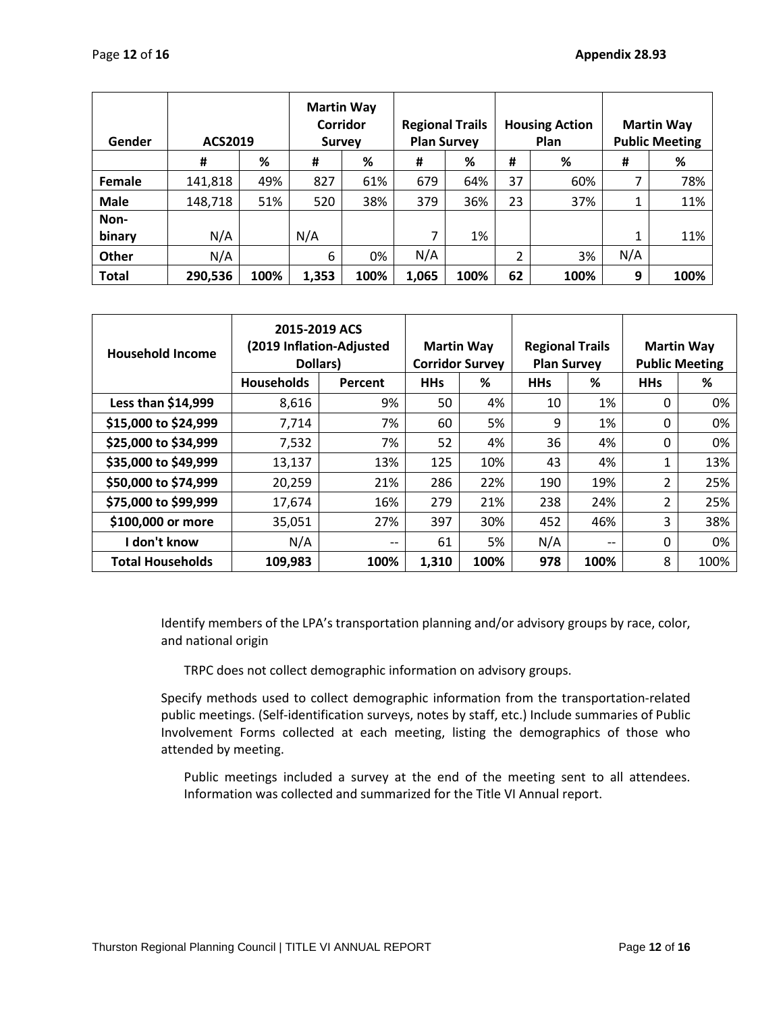| Gender       | ACS2019 |      | <b>Martin Way</b><br>Corridor<br><b>Survey</b> |      | <b>Regional Trails</b> | <b>Plan Survey</b> |    | <b>Housing Action</b><br><b>Plan</b> |     | <b>Martin Way</b><br><b>Public Meeting</b> |
|--------------|---------|------|------------------------------------------------|------|------------------------|--------------------|----|--------------------------------------|-----|--------------------------------------------|
|              | #       | %    | #                                              | %    | #                      | %                  | #  | %                                    | #   | %                                          |
| Female       | 141,818 | 49%  | 827                                            | 61%  | 679                    | 64%                | 37 | 60%                                  |     | 78%                                        |
| <b>Male</b>  | 148,718 | 51%  | 520                                            | 38%  | 379                    | 36%                | 23 | 37%                                  |     | 11%                                        |
| Non-         |         |      |                                                |      |                        |                    |    |                                      |     |                                            |
| binary       | N/A     |      | N/A                                            |      | 7                      | 1%                 |    |                                      |     | 11%                                        |
| <b>Other</b> | N/A     |      | 6                                              | 0%   | N/A                    |                    | 2  | 3%                                   | N/A |                                            |
| <b>Total</b> | 290,536 | 100% | 1,353                                          | 100% | 1,065                  | 100%               | 62 | 100%                                 | 9   | 100%                                       |

| <b>Household Income</b> | 2015-2019 ACS<br>(2019 Inflation-Adjusted<br>Dollars) | <b>Martin Way</b> | <b>Corridor Survey</b> | <b>Regional Trails</b><br><b>Plan Survey</b> |            | <b>Martin Way</b><br><b>Public Meeting</b> |                |      |
|-------------------------|-------------------------------------------------------|-------------------|------------------------|----------------------------------------------|------------|--------------------------------------------|----------------|------|
|                         | <b>Households</b>                                     | Percent           | <b>HHs</b>             | %                                            | <b>HHs</b> | %                                          | <b>HHs</b>     | %    |
| Less than \$14,999      | 8,616                                                 | 9%                | 50                     | 4%                                           | 10         | 1%                                         | 0              | 0%   |
| \$15,000 to \$24,999    | 7,714                                                 | 7%                | 60                     | 5%                                           | 9          | 1%                                         | 0              | 0%   |
| \$25,000 to \$34,999    | 7,532                                                 | 7%                | 52                     | 4%                                           | 36         | 4%                                         | 0              | 0%   |
| \$35,000 to \$49,999    | 13,137                                                | 13%               | 125                    | 10%                                          | 43         | 4%                                         | 1              | 13%  |
| \$50,000 to \$74,999    | 20,259                                                | 21%               | 286                    | 22%                                          | 190        | 19%                                        | $\overline{2}$ | 25%  |
| \$75,000 to \$99,999    | 17,674                                                | 16%               | 279                    | 21%                                          | 238        | 24%                                        | 2              | 25%  |
| \$100,000 or more       | 35,051                                                | 27%               | 397                    | 30%                                          | 452        | 46%                                        | 3              | 38%  |
| don't know              | N/A                                                   | --                | 61                     | 5%                                           | N/A        | $- -$                                      | 0              | 0%   |
| <b>Total Households</b> | 109,983                                               | 100%              | 1,310                  | 100%                                         | 978        | 100%                                       | 8              | 100% |

Identify members of the LPA's transportation planning and/or advisory groups by race, color, and national origin

TRPC does not collect demographic information on advisory groups.

Specify methods used to collect demographic information from the transportation-related public meetings. (Self-identification surveys, notes by staff, etc.) Include summaries of Public Involvement Forms collected at each meeting, listing the demographics of those who attended by meeting.

Public meetings included a survey at the end of the meeting sent to all attendees. Information was collected and summarized for the Title VI Annual report.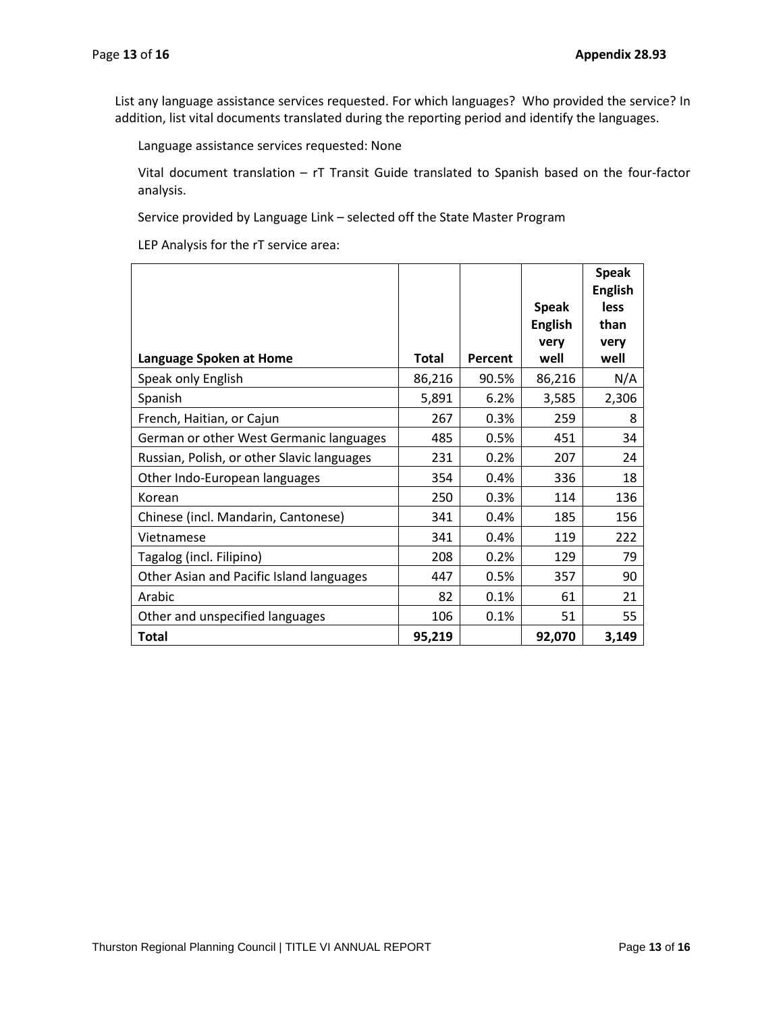List any language assistance services requested. For which languages? Who provided the service? In addition, list vital documents translated during the reporting period and identify the languages.

Language assistance services requested: None

Vital document translation – rT Transit Guide translated to Spanish based on the four-factor analysis.

Service provided by Language Link – selected off the State Master Program

LEP Analysis for the rT service area:

|                                            |              |         |                | <b>Speak</b><br><b>English</b> |
|--------------------------------------------|--------------|---------|----------------|--------------------------------|
|                                            |              |         | <b>Speak</b>   | less                           |
|                                            |              |         | <b>English</b> | than                           |
| Language Spoken at Home                    | <b>Total</b> | Percent | very<br>well   | very<br>well                   |
| Speak only English                         | 86,216       | 90.5%   | 86,216         | N/A                            |
| Spanish                                    | 5,891        | 6.2%    | 3,585          | 2,306                          |
| French, Haitian, or Cajun                  | 267          | 0.3%    | 259            | 8                              |
| German or other West Germanic languages    | 485          | 0.5%    | 451            | 34                             |
| Russian, Polish, or other Slavic languages | 231          | 0.2%    | 207            | 24                             |
| Other Indo-European languages              | 354          | 0.4%    | 336            | 18                             |
| Korean                                     | 250          | 0.3%    | 114            | 136                            |
| Chinese (incl. Mandarin, Cantonese)        | 341          | 0.4%    | 185            | 156                            |
| Vietnamese                                 | 341          | 0.4%    | 119            | 222                            |
| Tagalog (incl. Filipino)                   | 208          | 0.2%    | 129            | 79                             |
| Other Asian and Pacific Island languages   | 447          | 0.5%    | 357            | 90                             |
| Arabic                                     | 82           | 0.1%    | 61             | 21                             |
| Other and unspecified languages            | 106          | 0.1%    | 51             | 55                             |
| <b>Total</b>                               | 95,219       |         | 92,070         | 3,149                          |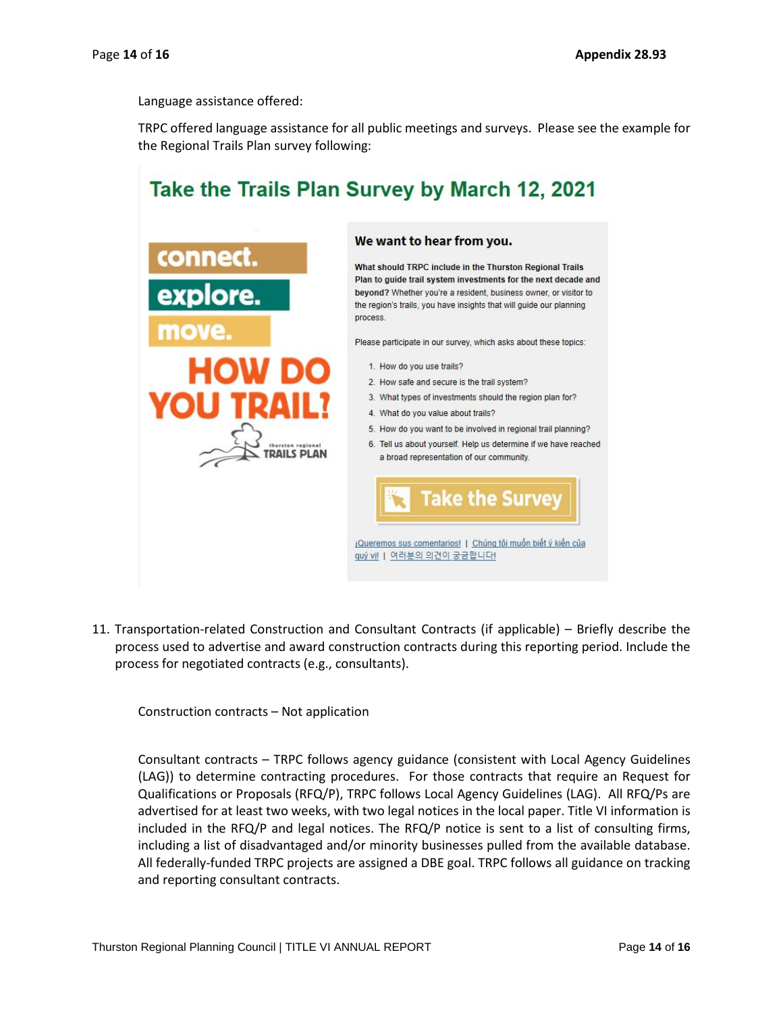Language assistance offered:

TRPC offered language assistance for all public meetings and surveys. Please see the example for the Regional Trails Plan survey following:



11. Transportation-related Construction and Consultant Contracts (if applicable) – Briefly describe the process used to advertise and award construction contracts during this reporting period. Include the process for negotiated contracts (e.g., consultants).

Construction contracts – Not application

Consultant contracts – TRPC follows agency guidance (consistent with Local Agency Guidelines (LAG)) to determine contracting procedures. For those contracts that require an Request for Qualifications or Proposals (RFQ/P), TRPC follows Local Agency Guidelines (LAG). All RFQ/Ps are advertised for at least two weeks, with two legal notices in the local paper. Title VI information is included in the RFQ/P and legal notices. The RFQ/P notice is sent to a list of consulting firms, including a list of disadvantaged and/or minority businesses pulled from the available database. All federally-funded TRPC projects are assigned a DBE goal. TRPC follows all guidance on tracking and reporting consultant contracts.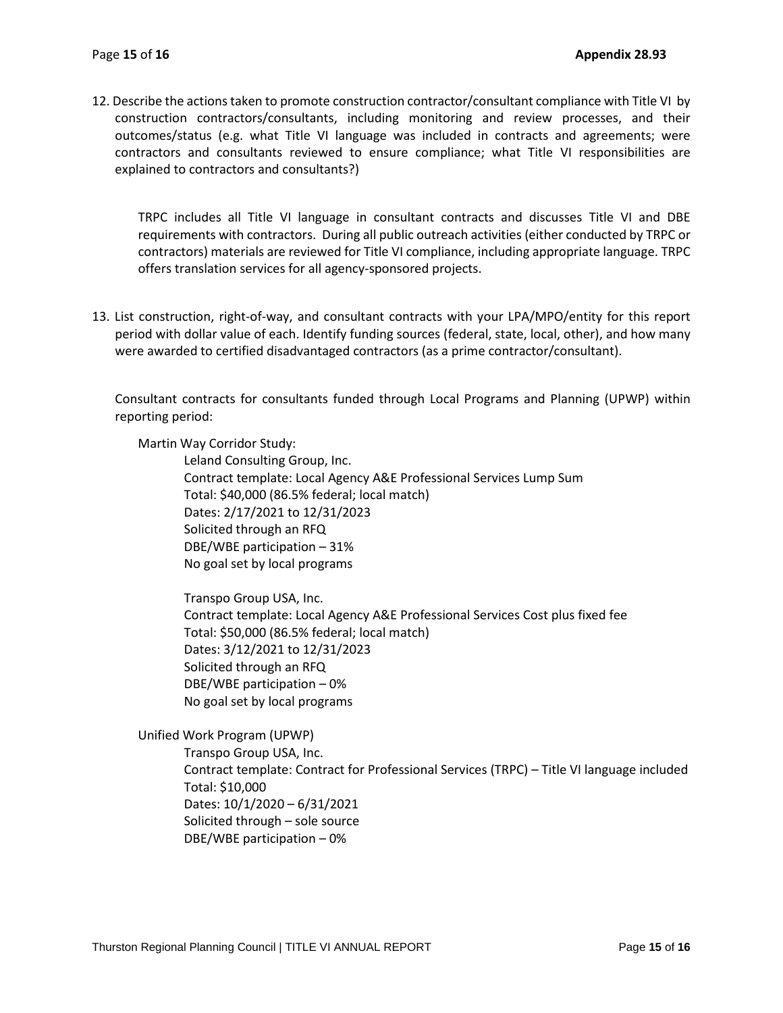12. Describe the actions taken to promote construction contractor/consultant compliance with Title VI by construction contractors/consultants, including monitoring and review processes, and their outcomes/status (e.g. what Title VI language was included in contracts and agreements; were contractors and consultants reviewed to ensure compliance; what Title VI responsibilities are explained to contractors and consultants?)

TRPC includes all Title VI language in consultant contracts and discusses Title VI and DBE requirements with contractors. During all public outreach activities (either conducted by TRPC or contractors) materials are reviewed for Title VI compliance, including appropriate language. TRPC offers translation services for all agency-sponsored projects.

13. List construction, right-of-way, and consultant contracts with your LPA/MPO/entity for this report period with dollar value of each. Identify funding sources (federal, state, local, other), and how many were awarded to certified disadvantaged contractors (as a prime contractor/consultant).

Consultant contracts for consultants funded through Local Programs and Planning (UPWP) within reporting period:

Martin Way Corridor Study:

Leland Consulting Group, Inc. Contract template: Local Agency A&E Professional Services Lump Sum Total: \$40,000 (86.5% federal; local match) Dates: 2/17/2021 to 12/31/2023 Solicited through an RFQ DBE/WBE participation – 31% No goal set by local programs

Transpo Group USA, Inc. Contract template: Local Agency A&E Professional Services Cost plus fixed fee Total: \$50,000 (86.5% federal; local match) Dates: 3/12/2021 to 12/31/2023 Solicited through an RFQ DBE/WBE participation – 0% No goal set by local programs

Unified Work Program (UPWP)

Transpo Group USA, Inc. Contract template: Contract for Professional Services (TRPC) – Title VI language included Total: \$10,000 Dates: 10/1/2020 – 6/31/2021 Solicited through – sole source DBE/WBE participation – 0%